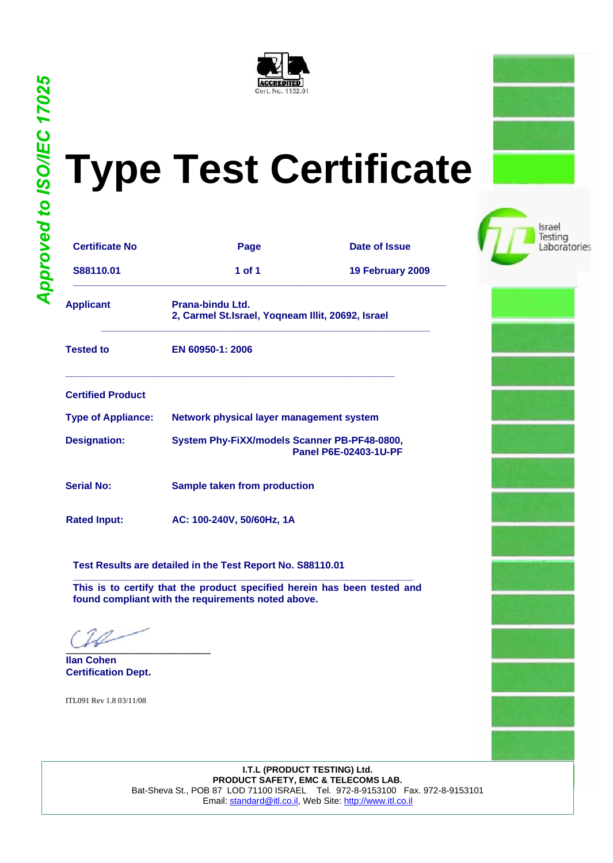

## **Type Test Certificate**

Israel Testing Laboratories

| <b>Certificate No</b>     | Page                                                                  | Date of Issue                |
|---------------------------|-----------------------------------------------------------------------|------------------------------|
| S88110.01                 | 1 of 1                                                                | 19 February 2009             |
| <b>Applicant</b>          | Prana-bindu Ltd.<br>2, Carmel St.Israel, Yoqneam Illit, 20692, Israel |                              |
| <b>Tested to</b>          | EN 60950-1: 2006                                                      |                              |
| <b>Certified Product</b>  |                                                                       |                              |
| <b>Type of Appliance:</b> | Network physical layer management system                              |                              |
| <b>Designation:</b>       | System Phy-FiXX/models Scanner PB-PF48-0800,                          | <b>Panel P6E-02403-1U-PF</b> |
| <b>Serial No:</b>         | Sample taken from production                                          |                              |
| <b>Rated Input:</b>       | AC: 100-240V, 50/60Hz, 1A                                             |                              |

**Test Results are detailed in the Test Report No. S88110.01**

**\_\_\_\_\_\_\_\_\_\_\_\_\_\_\_\_\_\_\_\_\_\_\_\_\_\_\_\_\_\_\_\_\_\_\_\_\_\_\_\_\_\_\_\_\_\_\_\_\_\_\_\_\_\_\_\_\_\_\_\_\_\_ This is to certify that the product specified herein has been tested and found compliant with the requirements noted above.**

 $\sqrt{2}$ 

**Ilan Cohen Certification Dept.**

ITL091 Rev 1.8 03/11/08

**I.T.L (PRODUCT TESTING) Ltd. PRODUCT SAFETY, EMC & TELECOMS LAB.** Bat-Sheva St., POB 87 LOD 71100 ISRAEL Tel. 972-8-9153100 Fax. 972-8-9153101 Email: [standard@itl.co.il, W](mailto:Email:standard@itl.co.il)eb Site: ht[tp://www.itl.co.il](http://www.itl.co.il)